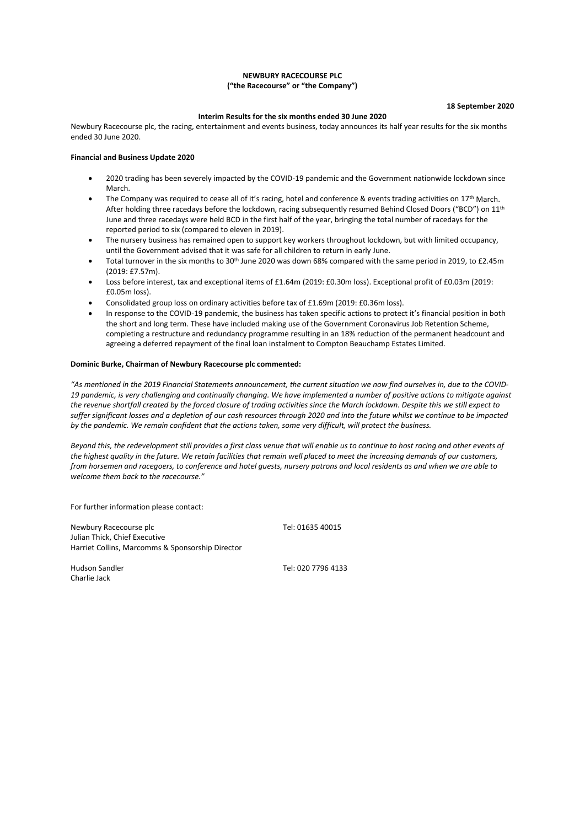## **NEWBURY RACECOURSE PLC ("the Racecourse" or "the Company")**

**18 September 2020**

#### **Interim Results for the six months ended 30 June 2020**

Newbury Racecourse plc, the racing, entertainment and events business, today announces its half year results for the six months ended 30 June 2020.

## **Financial and Business Update 2020**

- 2020 trading has been severely impacted by the COVID-19 pandemic and the Government nationwide lockdown since March.
- The Company was required to cease all of it's racing, hotel and conference & events trading activities on  $17<sup>th</sup>$  March. After holding three racedays before the lockdown, racing subsequently resumed Behind Closed Doors ("BCD") on 11<sup>th</sup> June and three racedays were held BCD in the first half of the year, bringing the total number of racedays for the reported period to six (compared to eleven in 2019).
- The nursery business has remained open to support key workers throughout lockdown, but with limited occupancy, until the Government advised that it was safe for all children to return in early June.
- Total turnover in the six months to 30<sup>th</sup> June 2020 was down 68% compared with the same period in 2019, to £2.45m (2019: £7.57m).
- Loss before interest, tax and exceptional items of £1.64m (2019: £0.30m loss). Exceptional profit of £0.03m (2019: £0.05m loss).
- Consolidated group loss on ordinary activities before tax of £1.69m (2019: £0.36m loss).
- In response to the COVID-19 pandemic, the business has taken specific actions to protect it's financial position in both the short and long term. These have included making use of the Government Coronavirus Job Retention Scheme, completing a restructure and redundancy programme resulting in an 18% reduction of the permanent headcount and agreeing a deferred repayment of the final loan instalment to Compton Beauchamp Estates Limited.

#### **Dominic Burke, Chairman of Newbury Racecourse plc commented:**

*"As mentioned in the 2019 Financial Statements announcement, the current situation we now find ourselves in, due to the COVID-19 pandemic, is very challenging and continually changing. We have implemented a number of positive actions to mitigate against the revenue shortfall created by the forced closure of trading activities since the March lockdown. Despite this we still expect to suffer significant losses and a depletion of our cash resources through 2020 and into the future whilst we continue to be impacted by the pandemic. We remain confident that the actions taken, some very difficult, will protect the business.* 

*Beyond this, the redevelopment still provides a first class venue that will enable us to continue to host racing and other events of the highest quality in the future. We retain facilities that remain well placed to meet the increasing demands of our customers, from horsemen and racegoers, to conference and hotel guests, nursery patrons and local residents as and when we are able to welcome them back to the racecourse."*

For further information please contact:

Newbury Racecourse plc Tel: 01635 40015 Julian Thick, Chief Executive Harriet Collins, Marcomms & Sponsorship Director

Charlie Jack

Hudson Sandler Tel: 020 7796 4133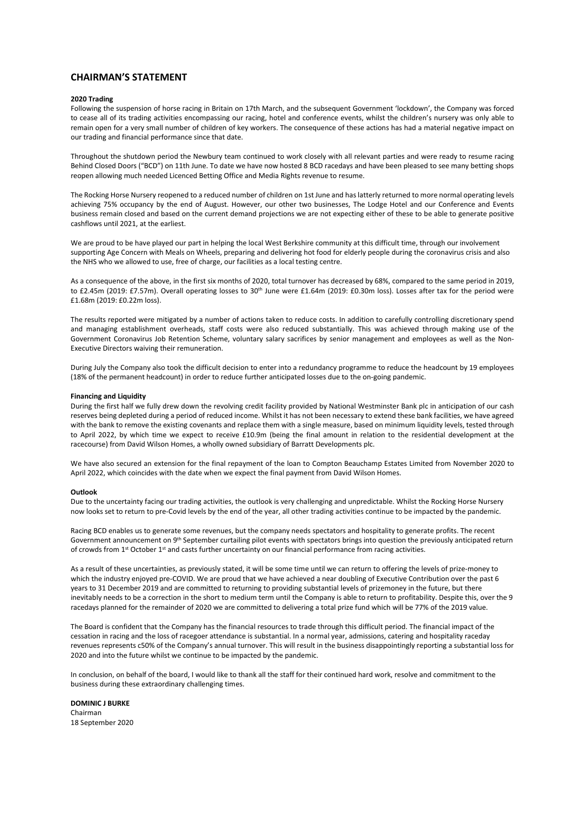## **CHAIRMAN'S STATEMENT**

#### **2020 Trading**

Following the suspension of horse racing in Britain on 17th March, and the subsequent Government 'lockdown', the Company was forced to cease all of its trading activities encompassing our racing, hotel and conference events, whilst the children's nursery was only able to remain open for a very small number of children of key workers. The consequence of these actions has had a material negative impact on our trading and financial performance since that date.

Throughout the shutdown period the Newbury team continued to work closely with all relevant parties and were ready to resume racing Behind Closed Doors ("BCD") on 11th June. To date we have now hosted 8 BCD racedays and have been pleased to see many betting shops reopen allowing much needed Licenced Betting Office and Media Rights revenue to resume.

The Rocking Horse Nursery reopened to a reduced number of children on 1st June and has latterly returned to more normal operating levels achieving 75% occupancy by the end of August. However, our other two businesses, The Lodge Hotel and our Conference and Events business remain closed and based on the current demand projections we are not expecting either of these to be able to generate positive cashflows until 2021, at the earliest.

We are proud to be have played our part in helping the local West Berkshire community at this difficult time, through our involvement supporting Age Concern with Meals on Wheels, preparing and delivering hot food for elderly people during the coronavirus crisis and also the NHS who we allowed to use, free of charge, our facilities as a local testing centre.

As a consequence of the above, in the first six months of 2020, total turnover has decreased by 68%, compared to the same period in 2019, to £2.45m (2019: £7.57m). Overall operating losses to 30<sup>th</sup> June were £1.64m (2019: £0.30m loss). Losses after tax for the period were £1.68m (2019: £0.22m loss).

The results reported were mitigated by a number of actions taken to reduce costs. In addition to carefully controlling discretionary spend and managing establishment overheads, staff costs were also reduced substantially. This was achieved through making use of the Government Coronavirus Job Retention Scheme, voluntary salary sacrifices by senior management and employees as well as the Non-Executive Directors waiving their remuneration.

During July the Company also took the difficult decision to enter into a redundancy programme to reduce the headcount by 19 employees (18% of the permanent headcount) in order to reduce further anticipated losses due to the on-going pandemic.

#### **Financing and Liquidity**

During the first half we fully drew down the revolving credit facility provided by National Westminster Bank plc in anticipation of our cash reserves being depleted during a period of reduced income. Whilst it has not been necessary to extend these bank facilities, we have agreed with the bank to remove the existing covenants and replace them with a single measure, based on minimum liquidity levels, tested through to April 2022, by which time we expect to receive £10.9m (being the final amount in relation to the residential development at the racecourse) from David Wilson Homes, a wholly owned subsidiary of Barratt Developments plc.

We have also secured an extension for the final repayment of the loan to Compton Beauchamp Estates Limited from November 2020 to April 2022, which coincides with the date when we expect the final payment from David Wilson Homes.

#### **Outlook**

Due to the uncertainty facing our trading activities, the outlook is very challenging and unpredictable. Whilst the Rocking Horse Nursery now looks set to return to pre-Covid levels by the end of the year, all other trading activities continue to be impacted by the pandemic.

Racing BCD enables us to generate some revenues, but the company needs spectators and hospitality to generate profits. The recent Government announcement on 9<sup>th</sup> September curtailing pilot events with spectators brings into question the previously anticipated return of crowds from 1st October 1st and casts further uncertainty on our financial performance from racing activities.

As a result of these uncertainties, as previously stated, it will be some time until we can return to offering the levels of prize-money to which the industry enjoyed pre-COVID. We are proud that we have achieved a near doubling of Executive Contribution over the past 6 years to 31 December 2019 and are committed to returning to providing substantial levels of prizemoney in the future, but there inevitably needs to be a correction in the short to medium term until the Company is able to return to profitability. Despite this, over the 9 racedays planned for the remainder of 2020 we are committed to delivering a total prize fund which will be 77% of the 2019 value.

The Board is confident that the Company has the financial resources to trade through this difficult period. The financial impact of the cessation in racing and the loss of racegoer attendance is substantial. In a normal year, admissions, catering and hospitality raceday revenues represents c50% of the Company's annual turnover. This will result in the business disappointingly reporting a substantial loss for 2020 and into the future whilst we continue to be impacted by the pandemic.

In conclusion, on behalf of the board, I would like to thank all the staff for their continued hard work, resolve and commitment to the business during these extraordinary challenging times.

## **DOMINIC J BURKE**

Chairman 18 September 2020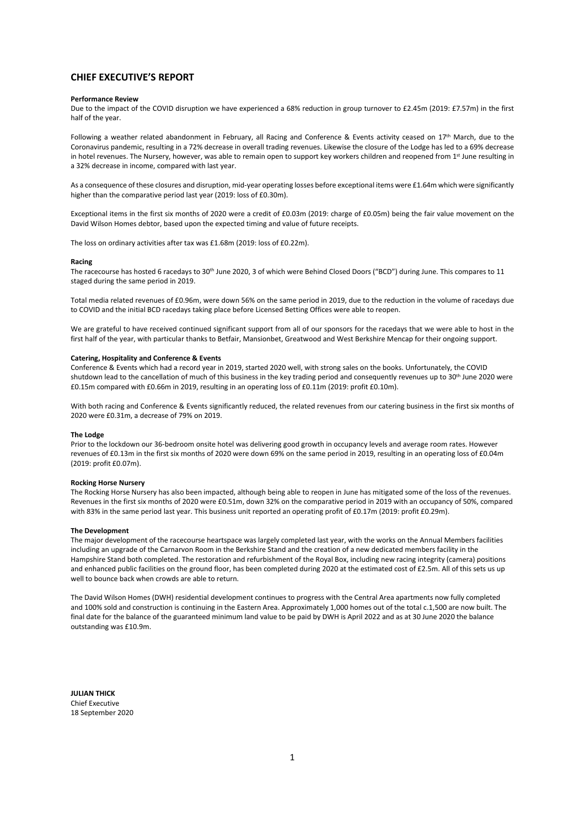# **CHIEF EXECUTIVE'S REPORT**

#### **Performance Review**

Due to the impact of the COVID disruption we have experienced a 68% reduction in group turnover to £2.45m (2019: £7.57m) in the first half of the year.

Following a weather related abandonment in February, all Racing and Conference & Events activity ceased on 17<sup>th</sup> March, due to the Coronavirus pandemic, resulting in a 72% decrease in overall trading revenues. Likewise the closure of the Lodge has led to a 69% decrease in hotel revenues. The Nursery, however, was able to remain open to support key workers children and reopened from 1st June resulting in a 32% decrease in income, compared with last year.

As a consequence of these closures and disruption, mid-year operating losses before exceptional items were £1.64m which were significantly higher than the comparative period last year (2019: loss of £0.30m).

Exceptional items in the first six months of 2020 were a credit of £0.03m (2019: charge of £0.05m) being the fair value movement on the David Wilson Homes debtor, based upon the expected timing and value of future receipts.

The loss on ordinary activities after tax was £1.68m (2019: loss of £0.22m).

#### **Racing**

The racecourse has hosted 6 racedays to 30<sup>th</sup> June 2020, 3 of which were Behind Closed Doors ("BCD") during June. This compares to 11 staged during the same period in 2019.

Total media related revenues of £0.96m, were down 56% on the same period in 2019, due to the reduction in the volume of racedays due to COVID and the initial BCD racedays taking place before Licensed Betting Offices were able to reopen.

We are grateful to have received continued significant support from all of our sponsors for the racedays that we were able to host in the first half of the year, with particular thanks to Betfair, Mansionbet, Greatwood and West Berkshire Mencap for their ongoing support.

#### **Catering, Hospitality and Conference & Events**

Conference & Events which had a record year in 2019, started 2020 well, with strong sales on the books. Unfortunately, the COVID shutdown lead to the cancellation of much of this business in the key trading period and consequently revenues up to 30<sup>th</sup> June 2020 were £0.15m compared with £0.66m in 2019, resulting in an operating loss of £0.11m (2019: profit £0.10m).

With both racing and Conference & Events significantly reduced, the related revenues from our catering business in the first six months of 2020 were £0.31m, a decrease of 79% on 2019.

#### **The Lodge**

Prior to the lockdown our 36-bedroom onsite hotel was delivering good growth in occupancy levels and average room rates. However revenues of £0.13m in the first six months of 2020 were down 69% on the same period in 2019, resulting in an operating loss of £0.04m (2019: profit £0.07m).

#### **Rocking Horse Nursery**

The Rocking Horse Nursery has also been impacted, although being able to reopen in June has mitigated some of the loss of the revenues. Revenues in the first six months of 2020 were £0.51m, down 32% on the comparative period in 2019 with an occupancy of 50%, compared with 83% in the same period last year. This business unit reported an operating profit of £0.17m (2019: profit £0.29m).

#### **The Development**

The major development of the racecourse heartspace was largely completed last year, with the works on the Annual Members facilities including an upgrade of the Carnarvon Room in the Berkshire Stand and the creation of a new dedicated members facility in the Hampshire Stand both completed. The restoration and refurbishment of the Royal Box, including new racing integrity (camera) positions and enhanced public facilities on the ground floor, has been completed during 2020 at the estimated cost of £2.5m. All of this sets us up well to bounce back when crowds are able to return.

The David Wilson Homes (DWH) residential development continues to progress with the Central Area apartments now fully completed and 100% sold and construction is continuing in the Eastern Area. Approximately 1,000 homes out of the total c.1,500 are now built. The final date for the balance of the guaranteed minimum land value to be paid by DWH is April 2022 and as at 30 June 2020 the balance outstanding was £10.9m.

**JULIAN THICK** Chief Executive 18 September 2020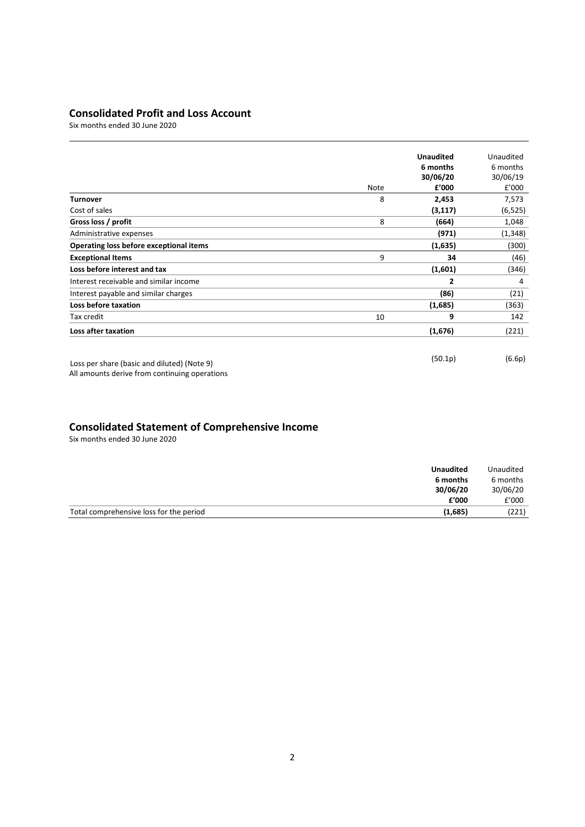# **Consolidated Profit and Loss Account**

Six months ended 30 June 2020

|                                                                                              | Note | <b>Unaudited</b><br>6 months<br>30/06/20<br>£'000 | Unaudited<br>6 months<br>30/06/19<br>f'000 |
|----------------------------------------------------------------------------------------------|------|---------------------------------------------------|--------------------------------------------|
| <b>Turnover</b>                                                                              | 8    | 2,453                                             | 7,573                                      |
| Cost of sales                                                                                |      | (3, 117)                                          | (6, 525)                                   |
| Gross loss / profit                                                                          | 8    | (664)                                             | 1,048                                      |
| Administrative expenses                                                                      |      | (971)                                             | (1, 348)                                   |
| Operating loss before exceptional items                                                      |      | (1,635)                                           | (300)                                      |
| <b>Exceptional Items</b>                                                                     | 9    | 34                                                | (46)                                       |
| Loss before interest and tax                                                                 |      | (1,601)                                           | (346)                                      |
| Interest receivable and similar income                                                       |      | 2                                                 | 4                                          |
| Interest payable and similar charges                                                         |      | (86)                                              | (21)                                       |
| Loss before taxation                                                                         |      | (1,685)                                           | (363)                                      |
| Tax credit                                                                                   | 10   | 9                                                 | 142                                        |
| Loss after taxation                                                                          |      | (1,676)                                           | (221)                                      |
| Loss per share (basic and diluted) (Note 9)<br>All amounts derive from continuing operations |      | (50.1p)                                           | (6.6p)                                     |

# **Consolidated Statement of Comprehensive Income**

Six months ended 30 June 2020

| <b>Unaudited</b>                                   | Unaudited |
|----------------------------------------------------|-----------|
| 6 months                                           | 6 months  |
| 30/06/20                                           | 30/06/20  |
| £'000                                              | E'000     |
| (1,685)<br>Total comprehensive loss for the period | (221)     |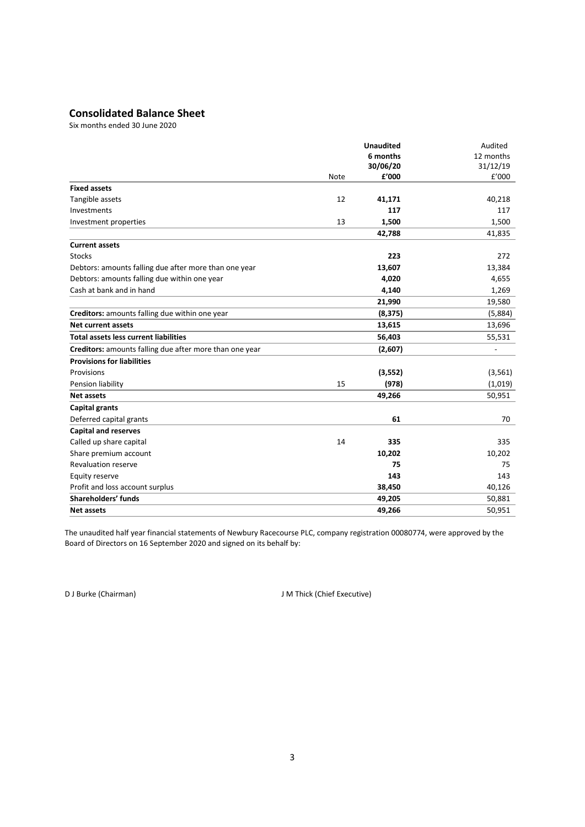# **Consolidated Balance Sheet**

Six months ended 30 June 2020

|                                                         |      | <b>Unaudited</b> | Audited   |
|---------------------------------------------------------|------|------------------|-----------|
|                                                         |      | 6 months         | 12 months |
|                                                         |      | 30/06/20         | 31/12/19  |
|                                                         | Note | £'000            | £'000     |
| <b>Fixed assets</b>                                     |      |                  |           |
| Tangible assets                                         | 12   | 41,171           | 40,218    |
| Investments                                             |      | 117              | 117       |
| Investment properties                                   | 13   | 1,500            | 1,500     |
|                                                         |      | 42,788           | 41,835    |
| <b>Current assets</b>                                   |      |                  |           |
| <b>Stocks</b>                                           |      | 223              | 272       |
| Debtors: amounts falling due after more than one year   |      | 13,607           | 13,384    |
| Debtors: amounts falling due within one year            |      | 4,020            | 4,655     |
| Cash at bank and in hand                                |      | 4,140            | 1,269     |
|                                                         |      | 21,990           | 19,580    |
| Creditors: amounts falling due within one year          |      | (8, 375)         | (5,884)   |
| <b>Net current assets</b>                               |      | 13,615           | 13,696    |
| <b>Total assets less current liabilities</b>            |      | 56,403           | 55,531    |
| Creditors: amounts falling due after more than one year |      | (2,607)          |           |
| <b>Provisions for liabilities</b>                       |      |                  |           |
| Provisions                                              |      | (3, 552)         | (3, 561)  |
| Pension liability                                       | 15   | (978)            | (1,019)   |
| <b>Net assets</b>                                       |      | 49,266           | 50,951    |
| Capital grants                                          |      |                  |           |
| Deferred capital grants                                 |      | 61               | 70        |
| <b>Capital and reserves</b>                             |      |                  |           |
| Called up share capital                                 | 14   | 335              | 335       |
| Share premium account                                   |      | 10,202           | 10,202    |
| <b>Revaluation reserve</b>                              |      | 75               | 75        |
| Equity reserve                                          |      | 143              | 143       |
| Profit and loss account surplus                         |      | 38,450           | 40,126    |
| Shareholders' funds                                     |      | 49,205           | 50,881    |
| <b>Net assets</b>                                       |      | 49,266           | 50,951    |

The unaudited half year financial statements of Newbury Racecourse PLC, company registration 00080774, were approved by the Board of Directors on 16 September 2020 and signed on its behalf by:

D J Burke (Chairman) **D** J M Thick (Chief Executive)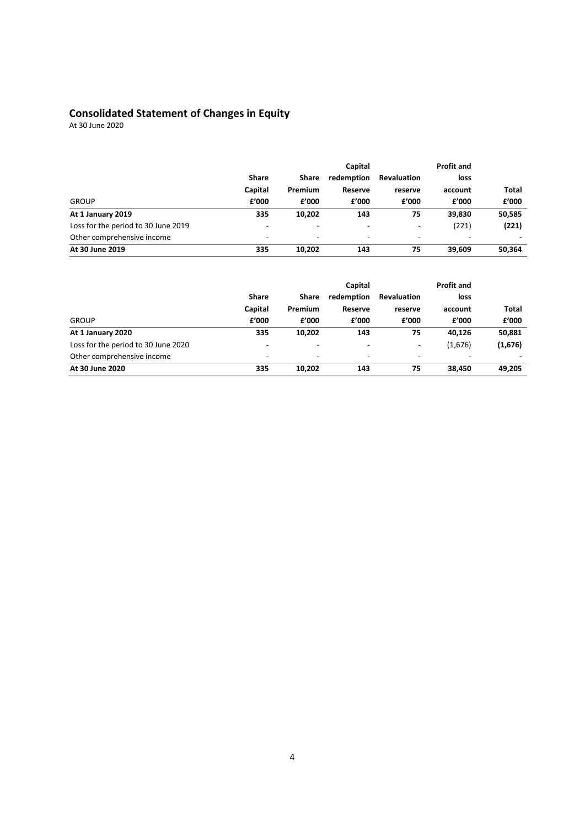# **Consolidated Statement of Changes in Equity**

At 30 June 2020

|                                     |                          |                          | Capital    |                          | <b>Profit and</b> |        |
|-------------------------------------|--------------------------|--------------------------|------------|--------------------------|-------------------|--------|
|                                     | Share                    | Share                    | redemption | <b>Revaluation</b>       | loss              |        |
|                                     | Capital                  | Premium                  | Reserve    | reserve                  | account           | Total  |
| <b>GROUP</b>                        | £'000                    | £'000                    | £'000      | £'000                    | f'000             | £'000  |
| At 1 January 2019                   | 335                      | 10.202                   | 143        | 75                       | 39.830            | 50,585 |
| Loss for the period to 30 June 2019 | $\sim$                   | $\overline{\phantom{a}}$ | -          | $\overline{\phantom{a}}$ | (221)             | (221)  |
| Other comprehensive income          | $\overline{\phantom{a}}$ | $\overline{\phantom{a}}$ | ۰          | -                        | -                 |        |
| At 30 June 2019                     | 335                      | 10,202                   | 143        | 75                       | 39,609            | 50,364 |

|                                     |                          |                          | Capital                  |                          | <b>Profit and</b> |         |
|-------------------------------------|--------------------------|--------------------------|--------------------------|--------------------------|-------------------|---------|
|                                     | Share                    | Share                    | redemption               | <b>Revaluation</b>       | loss              |         |
|                                     | Capital                  | Premium                  | Reserve                  | reserve                  | account           | Total   |
| <b>GROUP</b>                        | f'000                    | £'000                    | £'000                    | £'000                    | £'000             | £'000   |
| At 1 January 2020                   | 335                      | 10,202                   | 143                      | 75                       | 40,126            | 50,881  |
| Loss for the period to 30 June 2020 | $\overline{\phantom{a}}$ | $\overline{\phantom{a}}$ | $\overline{\phantom{a}}$ | $\overline{\phantom{a}}$ | (1,676)           | (1,676) |
| Other comprehensive income          | $\overline{\phantom{a}}$ | $\overline{\phantom{0}}$ | -                        | ۰                        |                   |         |
| At 30 June 2020                     | 335                      | 10.202                   | 143                      | 75                       | 38,450            | 49.205  |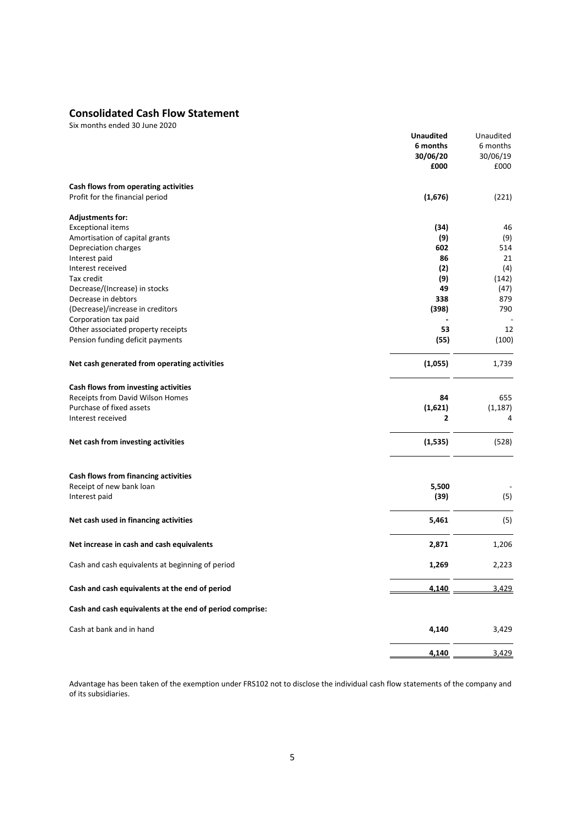# **Consolidated Cash Flow Statement**

Six months ended 30 June 2020

|                                                          | <b>Unaudited</b> | Unaudited |
|----------------------------------------------------------|------------------|-----------|
|                                                          | 6 months         | 6 months  |
|                                                          | 30/06/20         | 30/06/19  |
|                                                          | £000             | £000      |
|                                                          |                  |           |
| Cash flows from operating activities                     |                  |           |
| Profit for the financial period                          | (1,676)          | (221)     |
|                                                          |                  |           |
| <b>Adjustments for:</b>                                  |                  |           |
| <b>Exceptional items</b>                                 | (34)             | 46        |
| Amortisation of capital grants                           | (9)              | (9)       |
| Depreciation charges                                     | 602              | 514       |
| Interest paid                                            | 86               | 21        |
| Interest received                                        | (2)              | (4)       |
|                                                          |                  |           |
| Tax credit                                               | (9)              | (142)     |
| Decrease/(Increase) in stocks                            | 49               | (47)      |
| Decrease in debtors                                      | 338              | 879       |
| (Decrease)/increase in creditors                         | (398)            | 790       |
| Corporation tax paid                                     |                  |           |
| Other associated property receipts                       | 53               | 12        |
| Pension funding deficit payments                         | (55)             | (100)     |
| Net cash generated from operating activities             | (1,055)          | 1,739     |
|                                                          |                  |           |
| Cash flows from investing activities                     |                  |           |
| Receipts from David Wilson Homes                         | 84               | 655       |
| Purchase of fixed assets                                 | (1,621)          | (1, 187)  |
| Interest received                                        | 2                | 4         |
| Net cash from investing activities                       | (1, 535)         | (528)     |
|                                                          |                  |           |
| Cash flows from financing activities                     |                  |           |
| Receipt of new bank loan                                 | 5,500            |           |
| Interest paid                                            | (39)             | (5)       |
| Net cash used in financing activities                    | 5,461            | (5)       |
|                                                          |                  |           |
| Net increase in cash and cash equivalents                | 2,871            | 1,206     |
| Cash and cash equivalents at beginning of period         | 1,269            | 2,223     |
| Cash and cash equivalents at the end of period           | 4,140            | 3,429     |
|                                                          |                  |           |
| Cash and cash equivalents at the end of period comprise: |                  |           |
| Cash at bank and in hand                                 | 4,140            | 3,429     |
|                                                          | 4,140            | 3,429     |
|                                                          |                  |           |

Advantage has been taken of the exemption under FRS102 not to disclose the individual cash flow statements of the company and of its subsidiaries.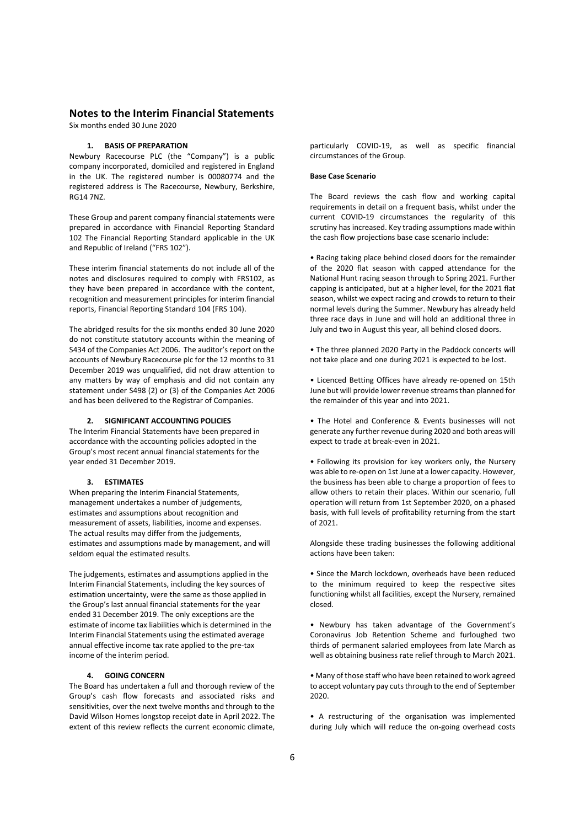Six months ended 30 June 2020

## **1. BASIS OF PREPARATION**

Newbury Racecourse PLC (the "Company") is a public company incorporated, domiciled and registered in England in the UK. The registered number is 00080774 and the registered address is The Racecourse, Newbury, Berkshire, RG14 7NZ.

These Group and parent company financial statements were prepared in accordance with Financial Reporting Standard 102 The Financial Reporting Standard applicable in the UK and Republic of Ireland ("FRS 102").

These interim financial statements do not include all of the notes and disclosures required to comply with FRS102, as they have been prepared in accordance with the content, recognition and measurement principles for interim financial reports, Financial Reporting Standard 104 (FRS 104).

The abridged results for the six months ended 30 June 2020 do not constitute statutory accounts within the meaning of S434 of the Companies Act 2006. The auditor's report on the accounts of Newbury Racecourse plc for the 12 months to 31 December 2019 was unqualified, did not draw attention to any matters by way of emphasis and did not contain any statement under S498 (2) or (3) of the Companies Act 2006 and has been delivered to the Registrar of Companies.

#### **2. SIGNIFICANT ACCOUNTING POLICIES**

The Interim Financial Statements have been prepared in accordance with the accounting policies adopted in the Group's most recent annual financial statements for the year ended 31 December 2019.

#### **3. ESTIMATES**

When preparing the Interim Financial Statements, management undertakes a number of judgements, estimates and assumptions about recognition and measurement of assets, liabilities, income and expenses. The actual results may differ from the judgements, estimates and assumptions made by management, and will seldom equal the estimated results.

The judgements, estimates and assumptions applied in the Interim Financial Statements, including the key sources of estimation uncertainty, were the same as those applied in the Group's last annual financial statements for the year ended 31 December 2019. The only exceptions are the estimate of income tax liabilities which is determined in the Interim Financial Statements using the estimated average annual effective income tax rate applied to the pre-tax income of the interim period.

#### **4. GOING CONCERN**

The Board has undertaken a full and thorough review of the Group's cash flow forecasts and associated risks and sensitivities, over the next twelve months and through to the David Wilson Homes longstop receipt date in April 2022. The extent of this review reflects the current economic climate,

particularly COVID-19, as well as specific financial circumstances of the Group.

#### **Base Case Scenario**

The Board reviews the cash flow and working capital requirements in detail on a frequent basis, whilst under the current COVID-19 circumstances the regularity of this scrutiny has increased. Key trading assumptions made within the cash flow projections base case scenario include:

• Racing taking place behind closed doors for the remainder of the 2020 flat season with capped attendance for the National Hunt racing season through to Spring 2021. Further capping is anticipated, but at a higher level, for the 2021 flat season, whilst we expect racing and crowds to return to their normal levels during the Summer. Newbury has already held three race days in June and will hold an additional three in July and two in August this year, all behind closed doors.

• The three planned 2020 Party in the Paddock concerts will not take place and one during 2021 is expected to be lost.

• Licenced Betting Offices have already re-opened on 15th June but will provide lower revenue streams than planned for the remainder of this year and into 2021.

• The Hotel and Conference & Events businesses will not generate any further revenue during 2020 and both areas will expect to trade at break-even in 2021.

• Following its provision for key workers only, the Nursery was able to re-open on 1st June at a lower capacity. However, the business has been able to charge a proportion of fees to allow others to retain their places. Within our scenario, full operation will return from 1st September 2020, on a phased basis, with full levels of profitability returning from the start of 2021.

Alongside these trading businesses the following additional actions have been taken:

• Since the March lockdown, overheads have been reduced to the minimum required to keep the respective sites functioning whilst all facilities, except the Nursery, remained closed.

• Newbury has taken advantage of the Government's Coronavirus Job Retention Scheme and furloughed two thirds of permanent salaried employees from late March as well as obtaining business rate relief through to March 2021.

• Many of those staff who have been retained to work agreed to accept voluntary pay cuts through to the end of September 2020.

• A restructuring of the organisation was implemented during July which will reduce the on-going overhead costs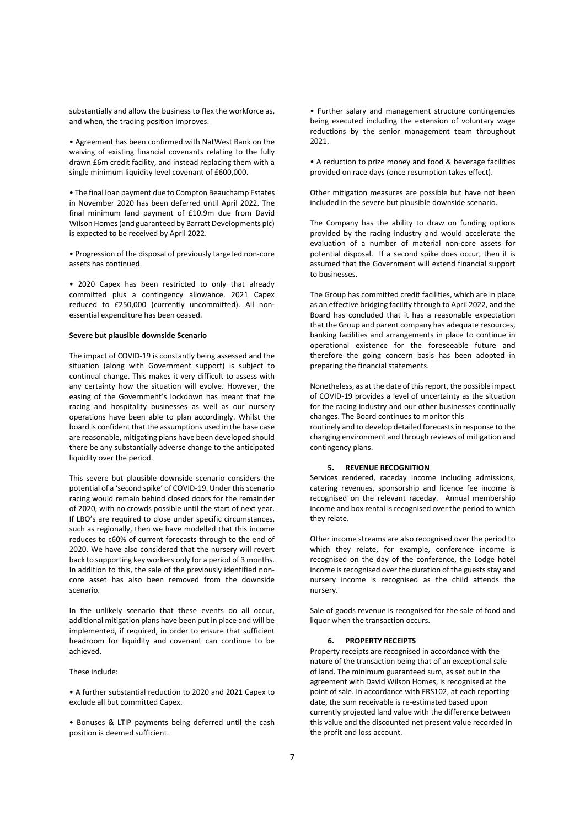substantially and allow the business to flex the workforce as, and when, the trading position improves.

• Agreement has been confirmed with NatWest Bank on the waiving of existing financial covenants relating to the fully drawn £6m credit facility, and instead replacing them with a single minimum liquidity level covenant of £600,000.

• The final loan payment due to Compton Beauchamp Estates in November 2020 has been deferred until April 2022. The final minimum land payment of £10.9m due from David Wilson Homes (and guaranteed by Barratt Developments plc) is expected to be received by April 2022.

• Progression of the disposal of previously targeted non-core assets has continued.

• 2020 Capex has been restricted to only that already committed plus a contingency allowance. 2021 Capex reduced to £250,000 (currently uncommitted). All nonessential expenditure has been ceased.

#### **Severe but plausible downside Scenario**

The impact of COVID-19 is constantly being assessed and the situation (along with Government support) is subject to continual change. This makes it very difficult to assess with any certainty how the situation will evolve. However, the easing of the Government's lockdown has meant that the racing and hospitality businesses as well as our nursery operations have been able to plan accordingly. Whilst the board is confident that the assumptions used in the base case are reasonable, mitigating plans have been developed should there be any substantially adverse change to the anticipated liquidity over the period.

This severe but plausible downside scenario considers the potential of a 'second spike' of COVID-19. Under this scenario racing would remain behind closed doors for the remainder of 2020, with no crowds possible until the start of next year. If LBO's are required to close under specific circumstances, such as regionally, then we have modelled that this income reduces to c60% of current forecasts through to the end of 2020. We have also considered that the nursery will revert back to supporting key workers only for a period of 3 months. In addition to this, the sale of the previously identified noncore asset has also been removed from the downside scenario.

In the unlikely scenario that these events do all occur, additional mitigation plans have been put in place and will be implemented, if required, in order to ensure that sufficient headroom for liquidity and covenant can continue to be achieved.

#### These include:

• A further substantial reduction to 2020 and 2021 Capex to exclude all but committed Capex.

• Bonuses & LTIP payments being deferred until the cash position is deemed sufficient.

• Further salary and management structure contingencies being executed including the extension of voluntary wage reductions by the senior management team throughout 2021.

• A reduction to prize money and food & beverage facilities provided on race days (once resumption takes effect).

Other mitigation measures are possible but have not been included in the severe but plausible downside scenario.

The Company has the ability to draw on funding options provided by the racing industry and would accelerate the evaluation of a number of material non-core assets for potential disposal. If a second spike does occur, then it is assumed that the Government will extend financial support to businesses.

The Group has committed credit facilities, which are in place as an effective bridging facility through to April 2022, and the Board has concluded that it has a reasonable expectation that the Group and parent company has adequate resources, banking facilities and arrangements in place to continue in operational existence for the foreseeable future and therefore the going concern basis has been adopted in preparing the financial statements.

Nonetheless, as at the date of this report, the possible impact of COVID-19 provides a level of uncertainty as the situation for the racing industry and our other businesses continually changes. The Board continues to monitor this

routinely and to develop detailed forecasts in response to the changing environment and through reviews of mitigation and contingency plans.

#### **5. REVENUE RECOGNITION**

Services rendered, raceday income including admissions, catering revenues, sponsorship and licence fee income is recognised on the relevant raceday. Annual membership income and box rental is recognised over the period to which they relate.

Other income streams are also recognised over the period to which they relate, for example, conference income is recognised on the day of the conference, the Lodge hotel income is recognised over the duration of the guests stay and nursery income is recognised as the child attends the nursery.

Sale of goods revenue is recognised for the sale of food and liquor when the transaction occurs.

## **6. PROPERTY RECEIPTS**

Property receipts are recognised in accordance with the nature of the transaction being that of an exceptional sale of land. The minimum guaranteed sum, as set out in the agreement with David Wilson Homes, is recognised at the point of sale. In accordance with FRS102, at each reporting date, the sum receivable is re-estimated based upon currently projected land value with the difference between this value and the discounted net present value recorded in the profit and loss account.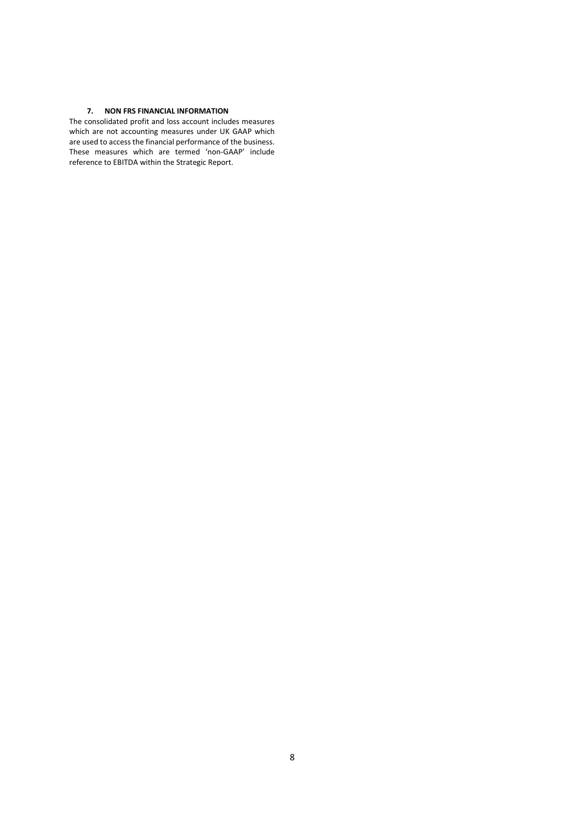# **7. NON FRS FINANCIAL INFORMATION**

The consolidated profit and loss account includes measures which are not accounting measures under UK GAAP which are used to access the financial performance of the business. These measures which are termed 'non-GAAP' include reference to EBITDA within the Strategic Report.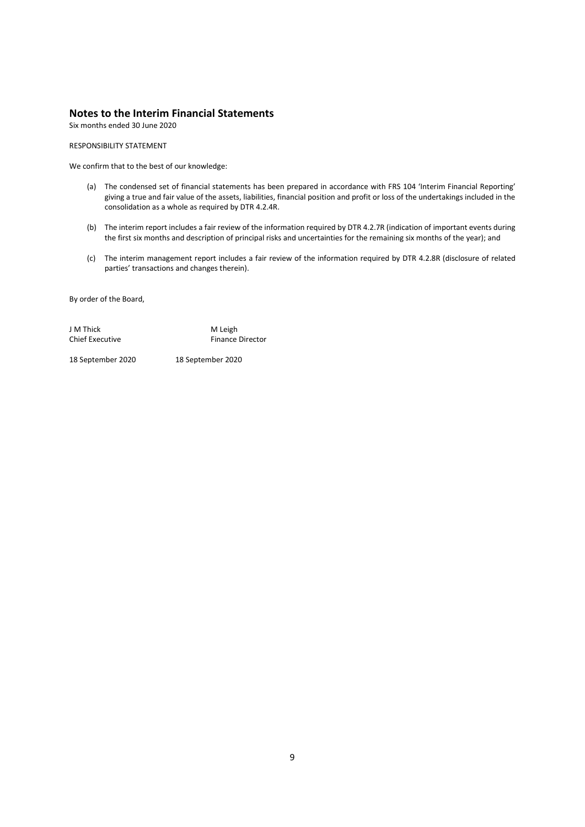Six months ended 30 June 2020

#### RESPONSIBILITY STATEMENT

We confirm that to the best of our knowledge:

- (a) The condensed set of financial statements has been prepared in accordance with FRS 104 'Interim Financial Reporting' giving a true and fair value of the assets, liabilities, financial position and profit or loss of the undertakings included in the consolidation as a whole as required by DTR 4.2.4R.
- (b) The interim report includes a fair review of the information required by DTR 4.2.7R (indication of important events during the first six months and description of principal risks and uncertainties for the remaining six months of the year); and
- (c) The interim management report includes a fair review of the information required by DTR 4.2.8R (disclosure of related parties' transactions and changes therein).

By order of the Board,

J M Thick M Leigh<br>
Chief Executive M N Leigh Finance Director

18 September 2020 18 September 2020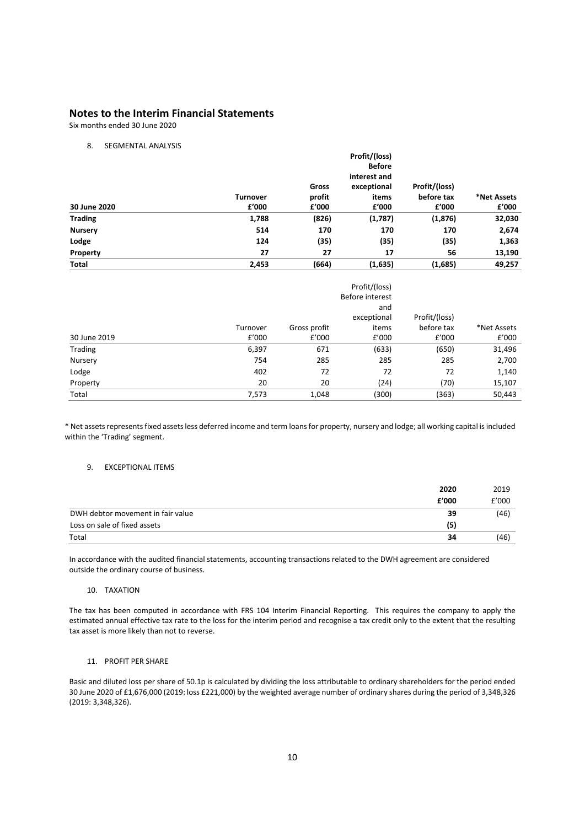Six months ended 30 June 2020

### 8. SEGMENTAL ANALYSIS

|                |                 |               | Profit/(loss) |               |             |  |
|----------------|-----------------|---------------|---------------|---------------|-------------|--|
|                |                 | <b>Before</b> |               |               |             |  |
|                |                 |               | interest and  |               |             |  |
|                |                 | Gross         | exceptional   | Profit/(loss) |             |  |
|                | <b>Turnover</b> | profit        | items         | before tax    | *Net Assets |  |
| 30 June 2020   | f'000           | £'000         | £'000         | £'000         | £'000       |  |
| <b>Trading</b> | 1,788           | (826)         | (1,787)       | (1, 876)      | 32,030      |  |
| <b>Nursery</b> | 514             | 170           | 170           | 170           | 2,674       |  |
| Lodge          | 124             | (35)          | (35)          | (35)          | 1,363       |  |
| Property       | 27              | 27            | 17            | 56            | 13,190      |  |
| <b>Total</b>   | 2,453           | (664)         | (1,635)       | (1,685)       | 49,257      |  |

|              |          |              | Profit/(loss)<br>Before interest |               |             |
|--------------|----------|--------------|----------------------------------|---------------|-------------|
|              |          |              | and<br>exceptional               | Profit/(loss) |             |
|              | Turnover | Gross profit | items                            | before tax    | *Net Assets |
| 30 June 2019 | £'000    | f'000        | £'000                            | f'000         | f'000       |
| Trading      | 6,397    | 671          | (633)                            | (650)         | 31,496      |
| Nursery      | 754      | 285          | 285                              | 285           | 2,700       |
| Lodge        | 402      | 72           | 72                               | 72            | 1,140       |
| Property     | 20       | 20           | (24)                             | (70)          | 15,107      |
| Total        | 7,573    | 1,048        | (300)                            | (363)         | 50,443      |

\* Net assetsrepresentsfixed assets less deferred income and term loans for property, nursery and lodge; all working capital is included within the 'Trading' segment.

## 9. EXCEPTIONAL ITEMS

|                                   | 2020  | 2019  |
|-----------------------------------|-------|-------|
|                                   | f'000 | £'000 |
| DWH debtor movement in fair value | 39    | (46)  |
| Loss on sale of fixed assets      | (5)   |       |
| Total                             | 34    | (46)  |

In accordance with the audited financial statements, accounting transactions related to the DWH agreement are considered outside the ordinary course of business.

#### 10. TAXATION

The tax has been computed in accordance with FRS 104 Interim Financial Reporting. This requires the company to apply the estimated annual effective tax rate to the loss for the interim period and recognise a tax credit only to the extent that the resulting tax asset is more likely than not to reverse.

## 11. PROFIT PER SHARE

Basic and diluted loss per share of 50.1p is calculated by dividing the loss attributable to ordinary shareholders for the period ended 30 June 2020 of £1,676,000 (2019: loss £221,000) by the weighted average number of ordinary shares during the period of 3,348,326 (2019: 3,348,326).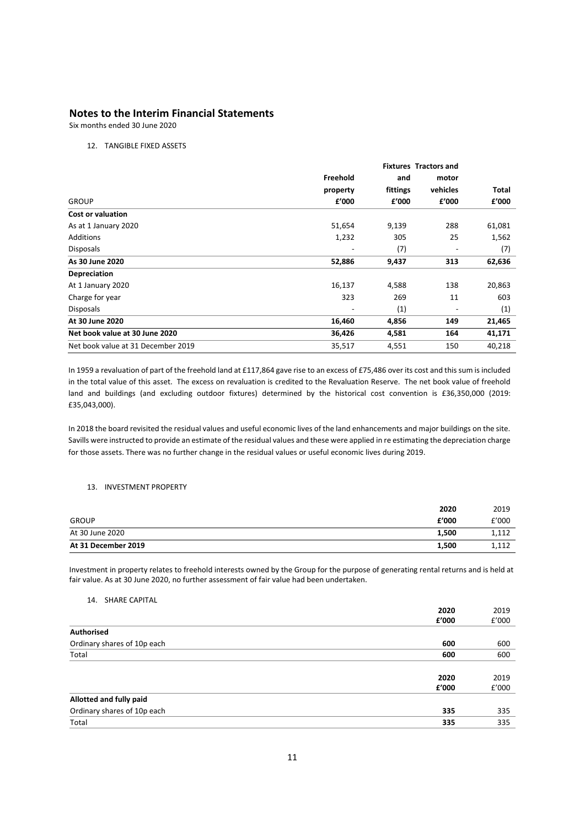Six months ended 30 June 2020

## 12. TANGIBLE FIXED ASSETS

|                                    |          |          | <b>Fixtures Tractors and</b> |        |
|------------------------------------|----------|----------|------------------------------|--------|
|                                    | Freehold | and      | motor                        |        |
|                                    | property | fittings | vehicles                     | Total  |
| <b>GROUP</b>                       | £'000    | f'000    | f'000                        | £'000  |
| <b>Cost or valuation</b>           |          |          |                              |        |
| As at 1 January 2020               | 51,654   | 9,139    | 288                          | 61,081 |
| <b>Additions</b>                   | 1,232    | 305      | 25                           | 1,562  |
| <b>Disposals</b>                   |          | (7)      |                              | (7)    |
| As 30 June 2020                    | 52,886   | 9,437    | 313                          | 62,636 |
| Depreciation                       |          |          |                              |        |
| At 1 January 2020                  | 16,137   | 4,588    | 138                          | 20,863 |
| Charge for year                    | 323      | 269      | 11                           | 603    |
| <b>Disposals</b>                   |          | (1)      |                              | (1)    |
| At 30 June 2020                    | 16,460   | 4,856    | 149                          | 21,465 |
| Net book value at 30 June 2020     | 36,426   | 4,581    | 164                          | 41,171 |
| Net book value at 31 December 2019 | 35,517   | 4,551    | 150                          | 40,218 |

In 1959 a revaluation of part of the freehold land at £117,864 gave rise to an excess of £75,486 over its cost and this sum is included in the total value of this asset. The excess on revaluation is credited to the Revaluation Reserve. The net book value of freehold land and buildings (and excluding outdoor fixtures) determined by the historical cost convention is £36,350,000 (2019: £35,043,000).

In 2018 the board revisited the residual values and useful economic lives of the land enhancements and major buildings on the site. Savills were instructed to provide an estimate of the residual values and these were applied in re estimating the depreciation charge for those assets. There was no further change in the residual values or useful economic lives during 2019.

#### 13. INVESTMENT PROPERTY

|                     | 2020  | 2019  |
|---------------------|-------|-------|
| GROUP               | £'000 | f'000 |
| At 30 June 2020     | 1,500 | 1,112 |
| At 31 December 2019 | 1,500 | 1,112 |

Investment in property relates to freehold interests owned by the Group for the purpose of generating rental returns and is held at fair value. As at 30 June 2020, no further assessment of fair value had been undertaken.

#### 14. SHARE CAPITAL

| $-1$                        |       |       |
|-----------------------------|-------|-------|
|                             | 2020  | 2019  |
|                             | £'000 | £'000 |
| Authorised                  |       |       |
| Ordinary shares of 10p each | 600   | 600   |
| Total                       | 600   | 600   |
|                             |       |       |
|                             | 2020  | 2019  |
|                             | £'000 | £'000 |
| Allotted and fully paid     |       |       |
| Ordinary shares of 10p each | 335   | 335   |
| Total                       | 335   | 335   |
|                             |       |       |